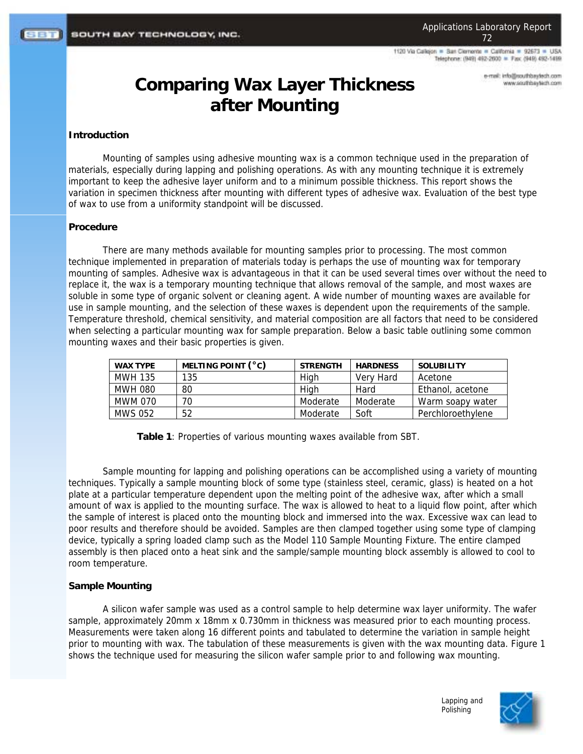1120 Via Calleion = San Clemente = California = 92673 = USA Telephone: (949) 492-2600 = Fax: (949) 492-1499

> e-mail: info@southbaytech.com www.southbaytech.com

# **Comparing Wax Layer Thickness after Mounting**

#### **Introduction**

Mounting of samples using adhesive mounting wax is a common technique used in the preparation of materials, especially during lapping and polishing operations. As with any mounting technique it is extremely important to keep the adhesive layer uniform and to a minimum possible thickness. This report shows the variation in specimen thickness after mounting with different types of adhesive wax. Evaluation of the best type of wax to use from a uniformity standpoint will be discussed.

#### **Procedure**

There are many methods available for mounting samples prior to processing. The most common technique implemented in preparation of materials today is perhaps the use of mounting wax for temporary mounting of samples. Adhesive wax is advantageous in that it can be used several times over without the need to replace it, the wax is a temporary mounting technique that allows removal of the sample, and most waxes are soluble in some type of organic solvent or cleaning agent. A wide number of mounting waxes are available for use in sample mounting, and the selection of these waxes is dependent upon the requirements of the sample. Temperature threshold, chemical sensitivity, and material composition are all factors that need to be considered when selecting a particular mounting wax for sample preparation. Below a basic table outlining some common mounting waxes and their basic properties is given.

| <b>WAX TYPE</b> | MELTING POINT (°C) | <b>STRENGTH</b> | <b>HARDNESS</b> | SOLUBILITY        |
|-----------------|--------------------|-----------------|-----------------|-------------------|
| MWH 135         | 135                | High            | Very Hard       | Acetone           |
| MWH 080         | 80                 | High            | Hard            | Ethanol, acetone  |
| MWM 070         | 70                 | Moderate        | Moderate        | Warm soapy water  |
| <b>MWS 052</b>  | 52                 | Moderate        | Soft            | Perchloroethylene |

**Table 1**: Properties of various mounting waxes available from SBT.

Sample mounting for lapping and polishing operations can be accomplished using a variety of mounting techniques. Typically a sample mounting block of some type (stainless steel, ceramic, glass) is heated on a hot plate at a particular temperature dependent upon the melting point of the adhesive wax, after which a small amount of wax is applied to the mounting surface. The wax is allowed to heat to a liquid flow point, after which the sample of interest is placed onto the mounting block and immersed into the wax. Excessive wax can lead to poor results and therefore should be avoided. Samples are then clamped together using some type of clamping device, typically a spring loaded clamp such as the Model 110 Sample Mounting Fixture. The entire clamped assembly is then placed onto a heat sink and the sample/sample mounting block assembly is allowed to cool to room temperature.

## **Sample Mounting**

A silicon wafer sample was used as a control sample to help determine wax layer uniformity. The wafer sample, approximately 20mm x 18mm x 0.730mm in thickness was measured prior to each mounting process. Measurements were taken along 16 different points and tabulated to determine the variation in sample height prior to mounting with wax. The tabulation of these measurements is given with the wax mounting data. Figure 1 shows the technique used for measuring the silicon wafer sample prior to and following wax mounting.

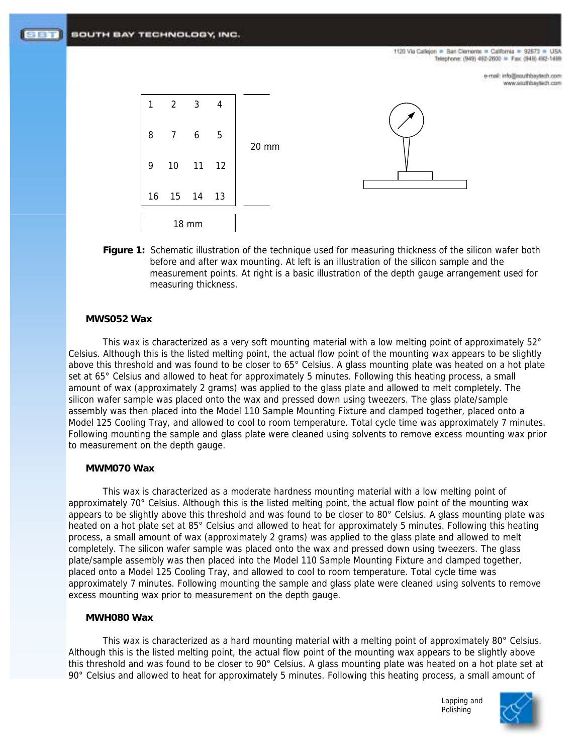SOUTH BAY TECHNOLOGY, INC.

1120 Via Calleion = San Clemente = California = 92673 = USA Telephone: (949) 492-2600 = Fax: (949) 492-1499

> e-mail: info@southbaytech.com www.southbaytech.com



**Figure 1:** Schematic illustration of the technique used for measuring thickness of the silicon wafer both before and after wax mounting. At left is an illustration of the silicon sample and the measurement points. At right is a basic illustration of the depth gauge arrangement used for measuring thickness.

## **MWS052 Wax**

This wax is characterized as a very soft mounting material with a low melting point of approximately 52° Celsius. Although this is the listed melting point, the actual flow point of the mounting wax appears to be slightly above this threshold and was found to be closer to 65° Celsius. A glass mounting plate was heated on a hot plate set at 65° Celsius and allowed to heat for approximately 5 minutes. Following this heating process, a small amount of wax (approximately 2 grams) was applied to the glass plate and allowed to melt completely. The silicon wafer sample was placed onto the wax and pressed down using tweezers. The glass plate/sample assembly was then placed into the Model 110 Sample Mounting Fixture and clamped together, placed onto a Model 125 Cooling Tray, and allowed to cool to room temperature. Total cycle time was approximately 7 minutes. Following mounting the sample and glass plate were cleaned using solvents to remove excess mounting wax prior to measurement on the depth gauge.

## **MWM070 Wax**

This wax is characterized as a moderate hardness mounting material with a low melting point of approximately 70° Celsius. Although this is the listed melting point, the actual flow point of the mounting wax appears to be slightly above this threshold and was found to be closer to 80° Celsius. A glass mounting plate was heated on a hot plate set at 85° Celsius and allowed to heat for approximately 5 minutes. Following this heating process, a small amount of wax (approximately 2 grams) was applied to the glass plate and allowed to melt completely. The silicon wafer sample was placed onto the wax and pressed down using tweezers. The glass plate/sample assembly was then placed into the Model 110 Sample Mounting Fixture and clamped together, placed onto a Model 125 Cooling Tray, and allowed to cool to room temperature. Total cycle time was approximately 7 minutes. Following mounting the sample and glass plate were cleaned using solvents to remove excess mounting wax prior to measurement on the depth gauge.

### **MWH080 Wax**

This wax is characterized as a hard mounting material with a melting point of approximately 80° Celsius. Although this is the listed melting point, the actual flow point of the mounting wax appears to be slightly above this threshold and was found to be closer to 90° Celsius. A glass mounting plate was heated on a hot plate set at 90° Celsius and allowed to heat for approximately 5 minutes. Following this heating process, a small amount of

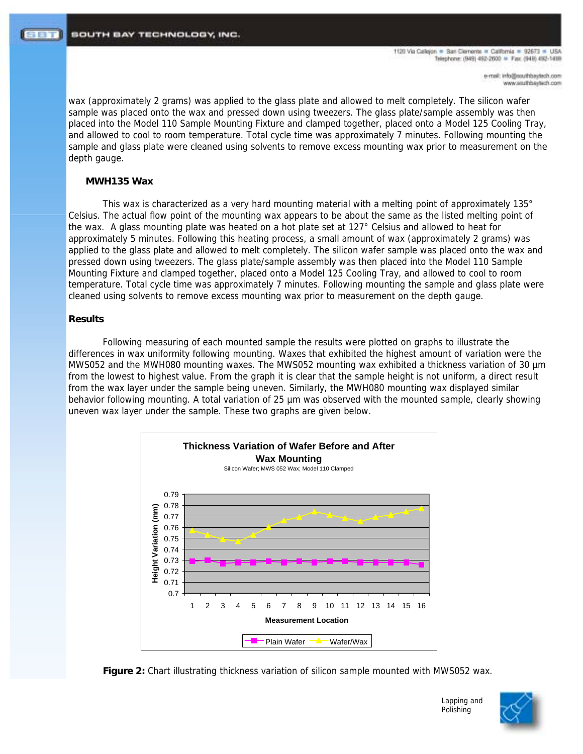1120 Via Calleion = San Clerrente = California = 92673 = USA Telephone: (949) 492-2600 = Fax: (949) 492-1499

> e-mail: info@southbaytech.com www.southbaytech.com

wax (approximately 2 grams) was applied to the glass plate and allowed to melt completely. The silicon wafer sample was placed onto the wax and pressed down using tweezers. The glass plate/sample assembly was then placed into the Model 110 Sample Mounting Fixture and clamped together, placed onto a Model 125 Cooling Tray, and allowed to cool to room temperature. Total cycle time was approximately 7 minutes. Following mounting the sample and glass plate were cleaned using solvents to remove excess mounting wax prior to measurement on the depth gauge.

#### **MWH135 Wax**

This wax is characterized as a very hard mounting material with a melting point of approximately 135° Celsius. The actual flow point of the mounting wax appears to be about the same as the listed melting point of the wax. A glass mounting plate was heated on a hot plate set at 127° Celsius and allowed to heat for approximately 5 minutes. Following this heating process, a small amount of wax (approximately 2 grams) was applied to the glass plate and allowed to melt completely. The silicon wafer sample was placed onto the wax and pressed down using tweezers. The glass plate/sample assembly was then placed into the Model 110 Sample Mounting Fixture and clamped together, placed onto a Model 125 Cooling Tray, and allowed to cool to room temperature. Total cycle time was approximately 7 minutes. Following mounting the sample and glass plate were cleaned using solvents to remove excess mounting wax prior to measurement on the depth gauge.

## **Results**

Following measuring of each mounted sample the results were plotted on graphs to illustrate the differences in wax uniformity following mounting. Waxes that exhibited the highest amount of variation were the MWS052 and the MWH080 mounting waxes. The MWS052 mounting wax exhibited a thickness variation of 30  $\mu$ m from the lowest to highest value. From the graph it is clear that the sample height is not uniform, a direct result from the wax layer under the sample being uneven. Similarly, the MWH080 mounting wax displayed similar behavior following mounting. A total variation of 25 µm was observed with the mounted sample, clearly showing uneven wax layer under the sample. These two graphs are given below.





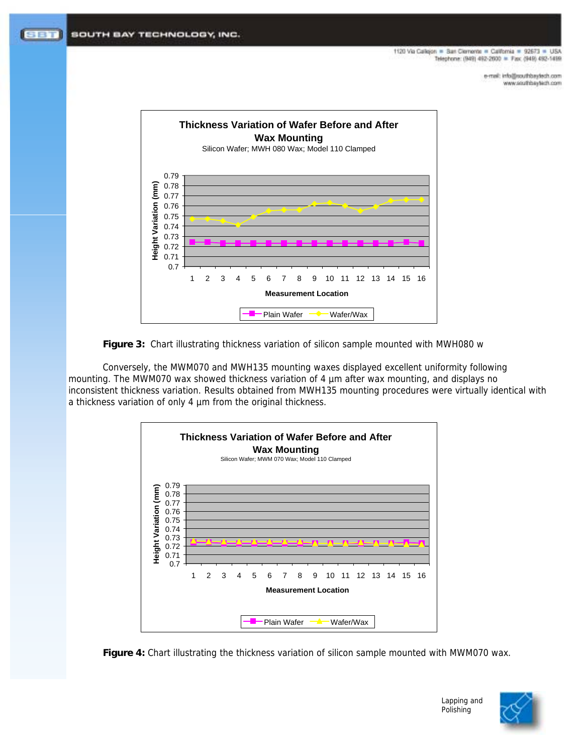1120 Via Calleion = San Clemente = California = 92673 = USA Telephone: (949) 492-2600 = Fax: (949) 492-1499

> e-mail: info@southbaytech.com www.southbaytech.com





Conversely, the MWM070 and MWH135 mounting waxes displayed excellent uniformity following mounting. The MWM070 wax showed thickness variation of 4 µm after wax mounting, and displays no inconsistent thickness variation. Results obtained from MWH135 mounting procedures were virtually identical with a thickness variation of only 4 µm from the original thickness.







Lapping and Polishing